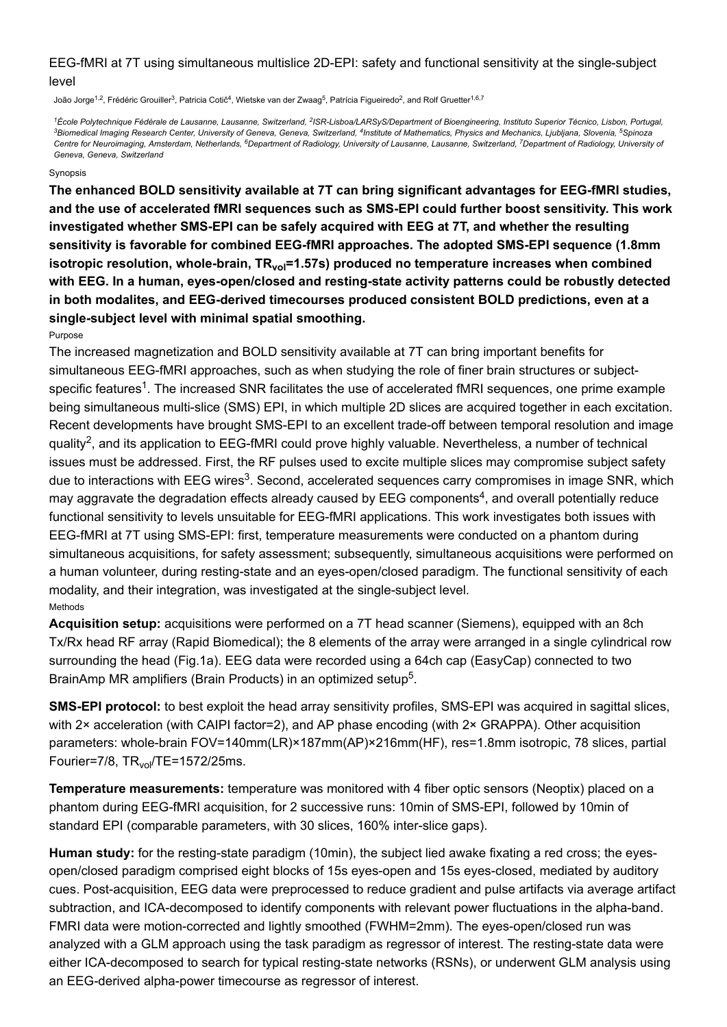# EEG-fMRI at 7T using simultaneous multislice 2D-EPI: safety and functional sensitivity at the single-subject level

João Jorge<sup>1,2</sup>, Frédéric Grouiller<sup>3</sup>, Patricia Cotič<sup>4</sup>, Wietske van der Zwaag<sup>5</sup>, Patrícia Figueiredo<sup>2</sup>, and Rolf Gruetter<sup>1,6,7</sup>

*École Polytechnique Fédérale de Lausanne, Lausanne, Switzerland, ISR-Lisboa/LARSyS/Department of Bioengineering, Instituto Superior Técnico, Lisbon, Portugal, 1 2 Biomedical Imaging Research Center, University of Geneva, Geneva, Switzerland, Institute of Mathematics, Physics and Mechanics, Ljubljana, Slovenia, Spinoza 3 4 5* Centre for Neuroimaging, Amsterdam, Netherlands, <sup>6</sup>Department of Radiology, University of Lausanne, Lausanne, Switzerland, <sup>7</sup>Department of Radiology, University of *Geneva, Geneva, Switzerland*

#### Synopsis

**The enhanced BOLD sensitivity available at 7T can bring significant advantages for EEG-fMRI studies, and the use of accelerated fMRI sequences such as SMS-EPI could further boost sensitivity. This work investigated whether SMS-EPI can be safely acquired with EEG at 7T, and whether the resulting sensitivity is favorable for combined EEG-fMRI approaches. The adopted SMS-EPI sequence (1.8mm** isotropic resolution, whole-brain, TR<sub>vol</sub>=1.57s) produced no temperature increases when combined **with EEG. In a human, eyes-open/closed and resting-state activity patterns could be robustly detected in both modalites, and EEG-derived timecourses produced consistent BOLD predictions, even at a single-subject level with minimal spatial smoothing.**

Purpose

The increased magnetization and BOLD sensitivity available at 7T can bring important benefits for simultaneous EEG-fMRI approaches, such as when studying the role of finer brain structures or subjectspecific features<sup>1</sup>. The increased SNR facilitates the use of accelerated fMRI sequences, one prime example being simultaneous multi-slice (SMS) EPI, in which multiple 2D slices are acquired together in each excitation. Recent developments have brought SMS-EPI to an excellent trade-off between temporal resolution and image quality<sup>2</sup>, and its application to EEG-fMRI could prove highly valuable. Nevertheless, a number of technical issues must be addressed. First, the RF pulses used to excite multiple slices may compromise subject safety due to interactions with EEG wires<sup>3</sup>. Second, accelerated sequences carry compromises in image SNR, which may aggravate the degradation effects already caused by EEG components<sup>4</sup>, and overall potentially reduce functional sensitivity to levels unsuitable for EEG-fMRI applications. This work investigates both issues with EEG-fMRI at 7T using SMS-EPI: first, temperature measurements were conducted on a phantom during simultaneous acquisitions, for safety assessment; subsequently, simultaneous acquisitions were performed on a human volunteer, during resting-state and an eyes-open/closed paradigm. The functional sensitivity of each modality, and their integration, was investigated at the single-subject level. Methods

**Acquisition setup:** acquisitions were performed on a 7T head scanner (Siemens), equipped with an 8ch Tx/Rx head RF array (Rapid Biomedical); the 8 elements of the array were arranged in a single cylindrical row surrounding the head (Fig.1a). EEG data were recorded using a 64ch cap (EasyCap) connected to two BrainAmp MR amplifiers (Brain Products) in an optimized setup<sup>5</sup>.

**SMS-EPI protocol:** to best exploit the head array sensitivity profiles, SMS-EPI was acquired in sagittal slices, with 2× acceleration (with CAIPI factor=2), and AP phase encoding (with 2× GRAPPA). Other acquisition parameters: whole-brain FOV=140mm(LR)×187mm(AP)×216mm(HF), res=1.8mm isotropic, 78 slices, partial Fourier=7/8, TR<sub>vol</sub>/TE=1572/25ms.

**Temperature measurements:** temperature was monitored with 4 fiber optic sensors (Neoptix) placed on a phantom during EEG-fMRI acquisition, for 2 successive runs: 10min of SMS-EPI, followed by 10min of standard EPI (comparable parameters, with 30 slices, 160% inter-slice gaps).

**Human study:** for the resting-state paradigm (10min), the subject lied awake fixating a red cross; the eyesopen/closed paradigm comprised eight blocks of 15s eyes-open and 15s eyes-closed, mediated by auditory cues. Post-acquisition, EEG data were preprocessed to reduce gradient and pulse artifacts via average artifact subtraction, and ICA-decomposed to identify components with relevant power fluctuations in the alpha-band. FMRI data were motion-corrected and lightly smoothed (FWHM=2mm). The eyes-open/closed run was analyzed with a GLM approach using the task paradigm as regressor of interest. The resting-state data were either ICA-decomposed to search for typical resting-state networks (RSNs), or underwent GLM analysis using an EEG-derived alpha-power timecourse as regressor of interest.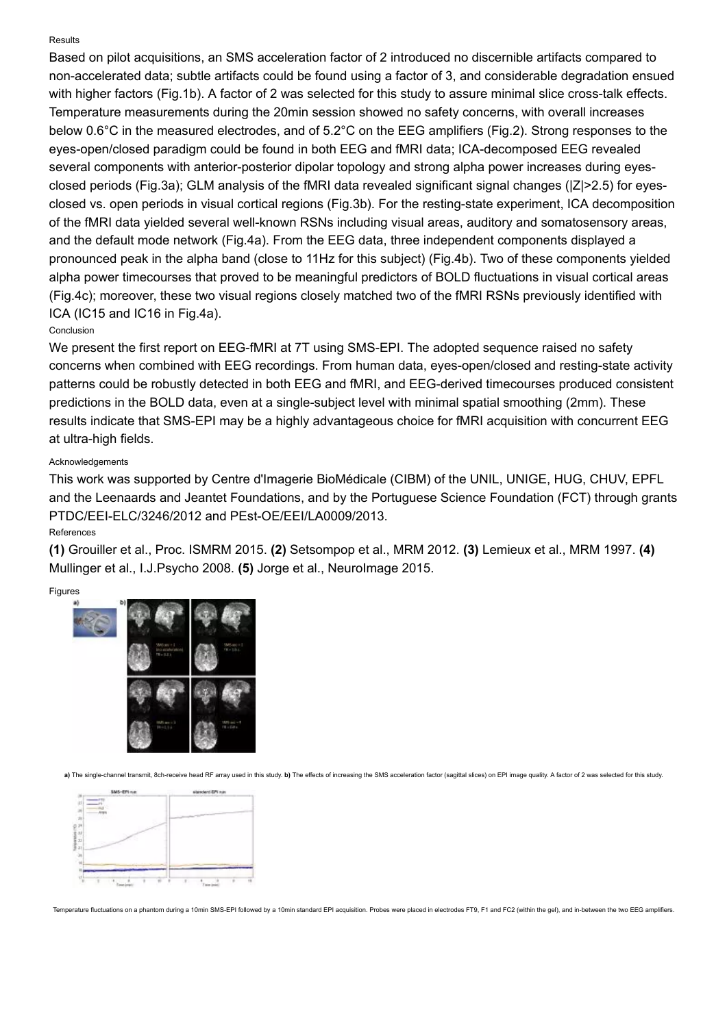### Results

Based on pilot acquisitions, an SMS acceleration factor of 2 introduced no discernible artifacts compared to non-accelerated data; subtle artifacts could be found using a factor of 3, and considerable degradation ensued with higher factors (Fig.1b). A factor of 2 was selected for this study to assure minimal slice cross-talk effects. Temperature measurements during the 20min session showed no safety concerns, with overall increases below 0.6°C in the measured electrodes, and of 5.2°C on the EEG amplifiers (Fig.2). Strong responses to the eyes-open/closed paradigm could be found in both EEG and fMRI data; ICA-decomposed EEG revealed several components with anterior-posterior dipolar topology and strong alpha power increases during eyesclosed periods (Fig.3a); GLM analysis of the fMRI data revealed significant signal changes (|Z|>2.5) for eyesclosed vs. open periods in visual cortical regions (Fig.3b). For the resting-state experiment, ICA decomposition of the fMRI data yielded several well-known RSNs including visual areas, auditory and somatosensory areas, and the default mode network (Fig.4a). From the EEG data, three independent components displayed a pronounced peak in the alpha band (close to 11Hz for this subject) (Fig.4b). Two of these components yielded alpha power timecourses that proved to be meaningful predictors of BOLD fluctuations in visual cortical areas (Fig.4c); moreover, these two visual regions closely matched two of the fMRI RSNs previously identified with ICA (IC15 and IC16 in Fig.4a).

# Conclusion

We present the first report on EEG-fMRI at 7T using SMS-EPI. The adopted sequence raised no safety concerns when combined with EEG recordings. From human data, eyes-open/closed and resting-state activity patterns could be robustly detected in both EEG and fMRI, and EEG-derived timecourses produced consistent predictions in the BOLD data, even at a single-subject level with minimal spatial smoothing (2mm). These results indicate that SMS-EPI may be a highly advantageous choice for fMRI acquisition with concurrent EEG at ultra-high fields.

### Acknowledgements

This work was supported by Centre d'Imagerie BioMédicale (CIBM) of the UNIL, UNIGE, HUG, CHUV, EPFL and the Leenaards and Jeantet Foundations, and by the Portuguese Science Foundation (FCT) through grants PTDC/EEI-ELC/3246/2012 and PEst-OE/EEI/LA0009/2013.

# References

**(1)** Grouiller et al., Proc. ISMRM 2015. **(2)** Setsompop et al., MRM 2012. **(3)** Lemieux et al., MRM 1997. **(4)** Mullinger et al., I.J.Psycho 2008. **(5)** Jorge et al., NeuroImage 2015.

#### Figures



a) The single-channel transmit, 8ch-receive head RF array used in this study. b) The effects of increasing the SMS acceleration factor (sagittal slices) on EPI image quality. A factor of 2 was selected for this study.



Temperature fluctuations on a phantom during a 10min SMS-EPI followed by a 10min standard EPI acquisition. Probes were placed in electrodes FT9, F1 and FC2 (within the gel), and in-between the two EEG amplifiers.